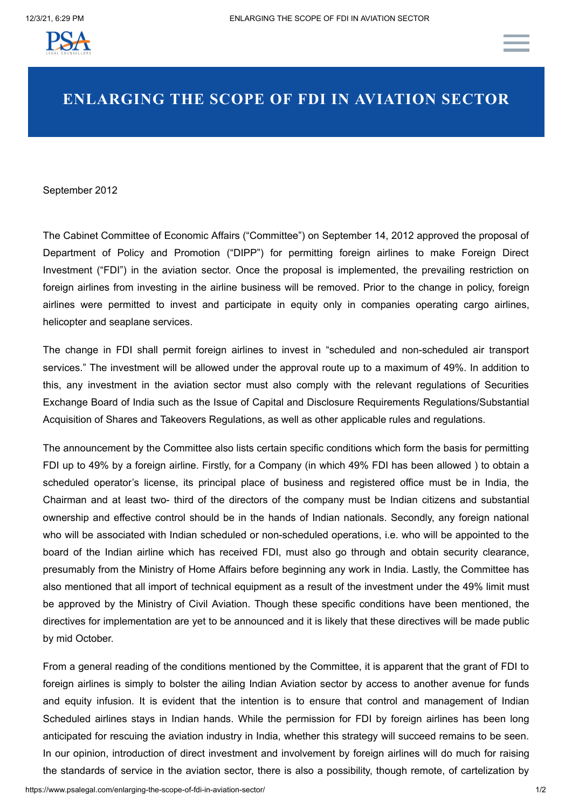

## **ENLARGING THE SCOPE OF FDI IN AVIATION SECTOR**

September 2012

The Cabinet Committee of Economic Affairs ("Committee") on September 14, 2012 approved the proposal of Department of Policy and Promotion ("DIPP") for permitting foreign airlines to make Foreign Direct Investment ("FDI") in the aviation sector. Once the proposal is implemented, the prevailing restriction on foreign airlines from investing in the airline business will be removed. Prior to the change in policy, foreign airlines were permitted to invest and participate in equity only in companies operating cargo airlines, helicopter and seaplane services.

The change in FDI shall permit foreign airlines to invest in "scheduled and non-scheduled air transport services." The investment will be allowed under the approval route up to a maximum of 49%. In addition to this, any investment in the aviation sector must also comply with the relevant regulations of Securities Exchange Board of India such as the Issue of Capital and Disclosure Requirements Regulations/Substantial Acquisition of Shares and Takeovers Regulations, as well as other applicable rules and regulations.

The announcement by the Committee also lists certain specific conditions which form the basis for permitting FDI up to 49% by a foreign airline. Firstly, for a Company (in which 49% FDI has been allowed ) to obtain a scheduled operator's license, its principal place of business and registered office must be in India, the Chairman and at least two- third of the directors of the company must be Indian citizens and substantial ownership and effective control should be in the hands of Indian nationals. Secondly, any foreign national who will be associated with Indian scheduled or non-scheduled operations, i.e. who will be appointed to the board of the Indian airline which has received FDI, must also go through and obtain security clearance, presumably from the Ministry of Home Affairs before beginning any work in India. Lastly, the Committee has also mentioned that all import of technical equipment as a result of the investment under the 49% limit must be approved by the Ministry of Civil Aviation. Though these specific conditions have been mentioned, the directives for implementation are yet to be announced and it is likely that these directives will be made public by mid October.

From a general reading of the conditions mentioned by the Committee, it is apparent that the grant of FDI to foreign airlines is simply to bolster the ailing Indian Aviation sector by access to another avenue for funds and equity infusion. It is evident that the intention is to ensure that control and management of Indian Scheduled airlines stays in Indian hands. While the permission for FDI by foreign airlines has been long anticipated for rescuing the aviation industry in India, whether this strategy will succeed remains to be seen. In our opinion, introduction of direct investment and involvement by foreign airlines will do much for raising the standards of service in the aviation sector, there is also a possibility, though remote, of cartelization by